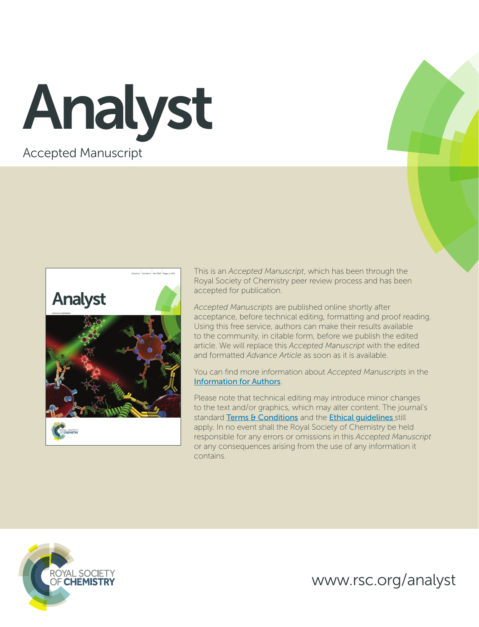Accepted Manuscript Analyst



This is an *Accepted Manuscript*, which has been through the Royal Society of Chemistry peer review process and has been accepted for publication.

*Accepted Manuscripts* are published online shortly after acceptance, before technical editing, formatting and proof reading. Using this free service, authors can make their results available to the community, in citable form, before we publish the edited article. We will replace this *Accepted Manuscript* with the edited and formatted *Advance Article* as soon as it is available.

You can find more information about *Accepted Manuscripts* in the [Information for Authors](http://www.rsc.org/Publishing/Journals/guidelines/AuthorGuidelines/JournalPolicy/accepted_manuscripts.asp).

Please note that technical editing may introduce minor changes to the text and/or graphics, which may alter content. The journal's standard [Terms & Conditions](http://www.rsc.org/help/termsconditions.asp) and the Ethical quidelines still apply. In no event shall the Royal Society of Chemistry be held responsible for any errors or omissions in this *Accepted Manuscript* or any consequences arising from the use of any information it contains.



www.rsc.org/analyst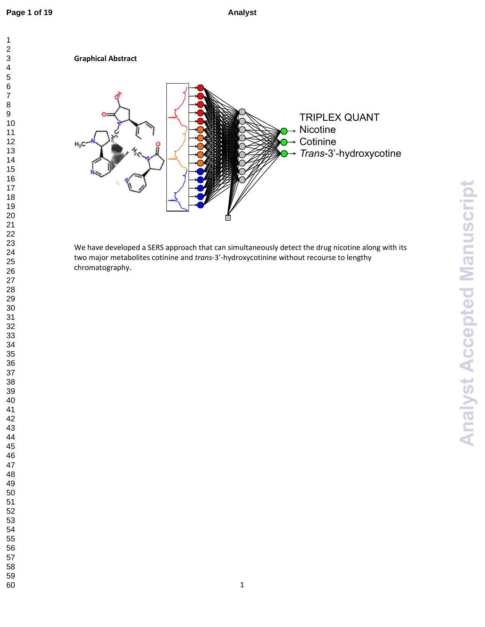

We have developed a SERS approach that can simultaneously detect the drug nicotine along with its two major metabolites cotinine and *trans*-3'-hydroxycotinine without recourse to lengthy chromatography.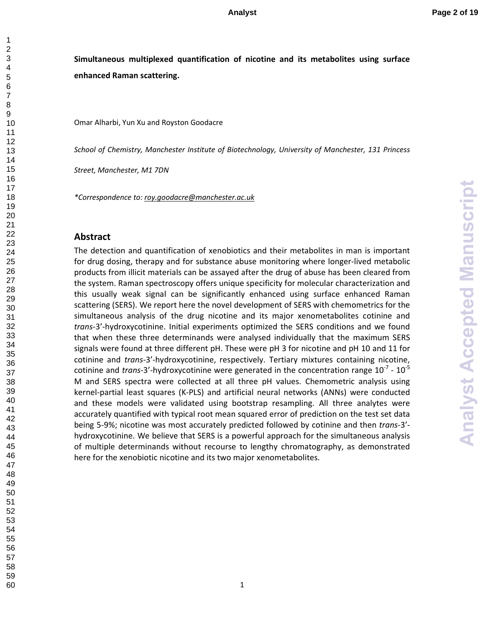# **Simultaneous multiplexed quantification of nicotine and its metabolites using surface enhanced Raman scattering.**

Omar Alharbi, Yun Xu and Royston Goodacre

*School of Chemistry, Manchester Institute of Biotechnology, University of Manchester, 131 Princess* 

*Street, Manchester, M1 7DN* 

*\*Correspondence to: roy.goodacre@manchester.ac.uk* 

### **Abstract**

The detection and quantification of xenobiotics and their metabolites in man is important for drug dosing, therapy and for substance abuse monitoring where longer-lived metabolic products from illicit materials can be assayed after the drug of abuse has been cleared from the system. Raman spectroscopy offers unique specificity for molecular characterization and this usually weak signal can be significantly enhanced using surface enhanced Raman scattering (SERS). We report here the novel development of SERS with chemometrics for the simultaneous analysis of the drug nicotine and its major xenometabolites cotinine and *trans*-3'-hydroxycotinine. Initial experiments optimized the SERS conditions and we found that when these three determinands were analysed individually that the maximum SERS signals were found at three different pH. These were pH 3 for nicotine and pH 10 and 11 for cotinine and *trans*-3'-hydroxycotinine, respectively. Tertiary mixtures containing nicotine, cotinine and *trans*-3'-hydroxycotinine were generated in the concentration range  $10^{-7}$  -  $10^{-5}$ M and SERS spectra were collected at all three pH values. Chemometric analysis using kernel-partial least squares (K-PLS) and artificial neural networks (ANNs) were conducted and these models were validated using bootstrap resampling. All three analytes were accurately quantified with typical root mean squared error of prediction on the test set data being 5-9%; nicotine was most accurately predicted followed by cotinine and then *trans*-3' hydroxycotinine. We believe that SERS is a powerful approach for the simultaneous analysis of multiple determinands without recourse to lengthy chromatography, as demonstrated here for the xenobiotic nicotine and its two major xenometabolites.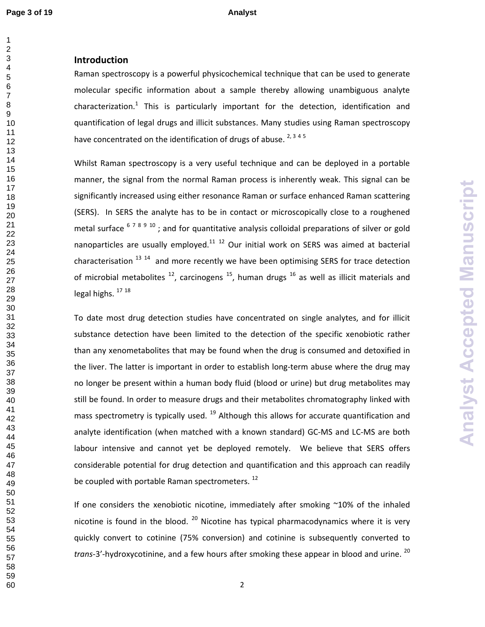## **Introduction**

Raman spectroscopy is a powerful physicochemical technique that can be used to generate molecular specific information about a sample thereby allowing unambiguous analyte characterization.<sup>1</sup> This is particularly important for the detection, identification and quantification of legal drugs and illicit substances. Many studies using Raman spectroscopy have concentrated on the identification of drugs of abuse.  $2,3,4,5$ 

Whilst Raman spectroscopy is a very useful technique and can be deployed in a portable manner, the signal from the normal Raman process is inherently weak. This signal can be significantly increased using either resonance Raman or surface enhanced Raman scattering (SERS). In SERS the analyte has to be in contact or microscopically close to a roughened metal surface ; and for quantitative analysis colloidal preparations of silver or gold nanoparticles are usually employed.  $12$  Our initial work on SERS was aimed at bacterial characterisation  $^{13}$   $^{14}$  and more recently we have been optimising SERS for trace detection of microbial metabolites  $^{12}$ , carcinogens  $^{15}$ , human drugs  $^{16}$  as well as illicit materials and legal highs.  $17 18$ 

**Analyst Accepted Manuscript Analyst Accepted Manuscript**

To date most drug detection studies have concentrated on single analytes, and for illicit substance detection have been limited to the detection of the specific xenobiotic rather than any xenometabolites that may be found when the drug is consumed and detoxified in the liver. The latter is important in order to establish long-term abuse where the drug may no longer be present within a human body fluid (blood or urine) but drug metabolites may still be found. In order to measure drugs and their metabolites chromatography linked with mass spectrometry is typically used.  $^{19}$  Although this allows for accurate quantification and analyte identification (when matched with a known standard) GC-MS and LC-MS are both labour intensive and cannot yet be deployed remotely. We believe that SERS offers considerable potential for drug detection and quantification and this approach can readily be coupled with portable Raman spectrometers.<sup>12</sup>

If one considers the xenobiotic nicotine, immediately after smoking ~10% of the inhaled nicotine is found in the blood.  $^{20}$  Nicotine has typical pharmacodynamics where it is very quickly convert to cotinine (75% conversion) and cotinine is subsequently converted to trans-3'-hydroxycotinine, and a few hours after smoking these appear in blood and urine. <sup>20</sup>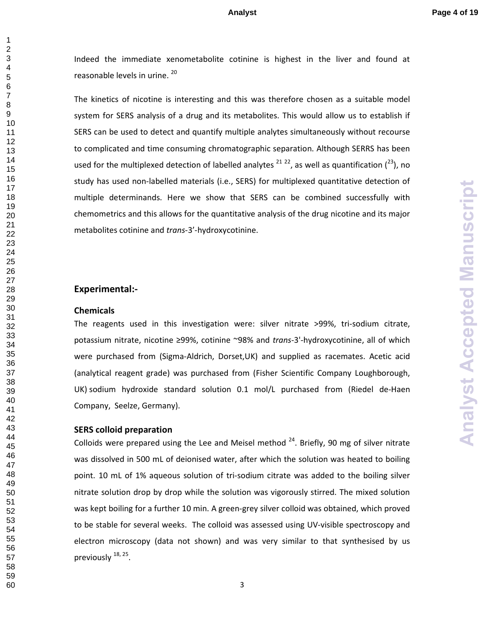Indeed the immediate xenometabolite cotinine is highest in the liver and found at reasonable levels in urine. 20

The kinetics of nicotine is interesting and this was therefore chosen as a suitable model system for SERS analysis of a drug and its metabolites. This would allow us to establish if SERS can be used to detect and quantify multiple analytes simultaneously without recourse to complicated and time consuming chromatographic separation. Although SERRS has been used for the multiplexed detection of labelled analytes  $^{21}$   $^{22}$ , as well as quantification  $(^{23})$ , no study has used non-labelled materials (i.e., SERS) for multiplexed quantitative detection of multiple determinands. Here we show that SERS can be combined successfully with chemometrics and this allows for the quantitative analysis of the drug nicotine and its major metabolites cotinine and *trans*-3'-hydroxycotinine.

### **Experimental:-**

### **Chemicals**

The reagents used in this investigation were: silver nitrate >99%, tri-sodium citrate, potassium nitrate, nicotine ≥99%, cotinine ~98% and *trans*-3'-hydroxycotinine, all of which were purchased from (Sigma-Aldrich, Dorset,UK) and supplied as racemates. Acetic acid (analytical reagent grade) was purchased from (Fisher Scientific Company Loughborough, UK) sodium hydroxide standard solution 0.1 mol/L purchased from (Riedel de-Haen Company, Seelze, Germany).

### **SERS colloid preparation**

Colloids were prepared using the Lee and Meisel method . Briefly, 90 mg of silver nitrate was dissolved in 500 mL of deionised water, after which the solution was heated to boiling point. 10 mL of 1% aqueous solution of tri-sodium citrate was added to the boiling silver nitrate solution drop by drop while the solution was vigorously stirred. The mixed solution was kept boiling for a further 10 min. A green-grey silver colloid was obtained, which proved to be stable for several weeks. The colloid was assessed using UV-visible spectroscopy and electron microscopy (data not shown) and was very similar to that synthesised by us previously <sup>18, 25</sup>.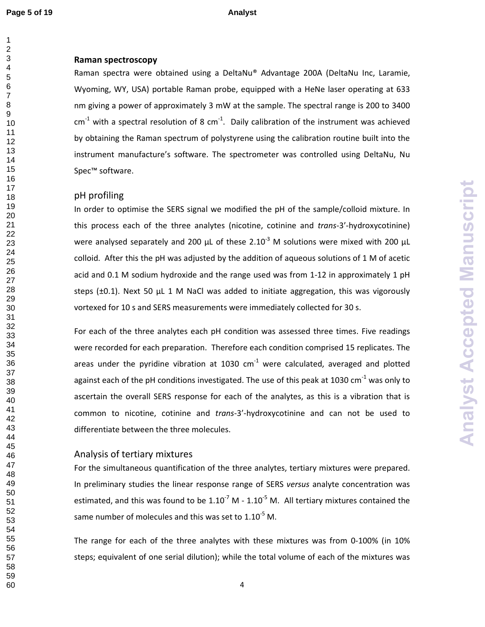**Page 5 of 19 Analyst** 

### **Raman spectroscopy**

Raman spectra were obtained using a DeltaNu® Advantage 200A (DeltaNu Inc, Laramie, Wyoming, WY, USA) portable Raman probe, equipped with a HeNe laser operating at 633 nm giving a power of approximately 3 mW at the sample. The spectral range is 200 to 3400  $cm<sup>-1</sup>$  with a spectral resolution of 8  $cm<sup>-1</sup>$ . Daily calibration of the instrument was achieved by obtaining the Raman spectrum of polystyrene using the calibration routine built into the instrument manufacture's software. The spectrometer was controlled using DeltaNu, Nu Spec™ software.

### pH profiling

In order to optimise the SERS signal we modified the pH of the sample/colloid mixture. In this process each of the three analytes (nicotine, cotinine and *trans*-3'-hydroxycotinine) were analysed separately and 200  $\mu$ L of these 2.10<sup>-3</sup> M solutions were mixed with 200  $\mu$ L colloid. After this the pH was adjusted by the addition of aqueous solutions of 1 M of acetic acid and 0.1 M sodium hydroxide and the range used was from 1-12 in approximately 1 pH steps ( $\pm$ 0.1). Next 50  $\mu$ L 1 M NaCl was added to initiate aggregation, this was vigorously vortexed for 10 s and SERS measurements were immediately collected for 30 s.

For each of the three analytes each pH condition was assessed three times. Five readings were recorded for each preparation. Therefore each condition comprised 15 replicates. The areas under the pyridine vibration at 1030  $cm^{-1}$  were calculated, averaged and plotted against each of the pH conditions investigated. The use of this peak at 1030 cm<sup>-1</sup> was only to ascertain the overall SERS response for each of the analytes, as this is a vibration that is common to nicotine, cotinine and *trans*-3'-hydroxycotinine and can not be used to differentiate between the three molecules.

## Analysis of tertiary mixtures

For the simultaneous quantification of the three analytes, tertiary mixtures were prepared. In preliminary studies the linear response range of SERS *versus* analyte concentration was estimated, and this was found to be  $1.10^{-7}$  M -  $1.10^{-5}$  M. All tertiary mixtures contained the same number of molecules and this was set to  $1.10^{-5}$  M.

The range for each of the three analytes with these mixtures was from 0-100% (in 10% steps; equivalent of one serial dilution); while the total volume of each of the mixtures was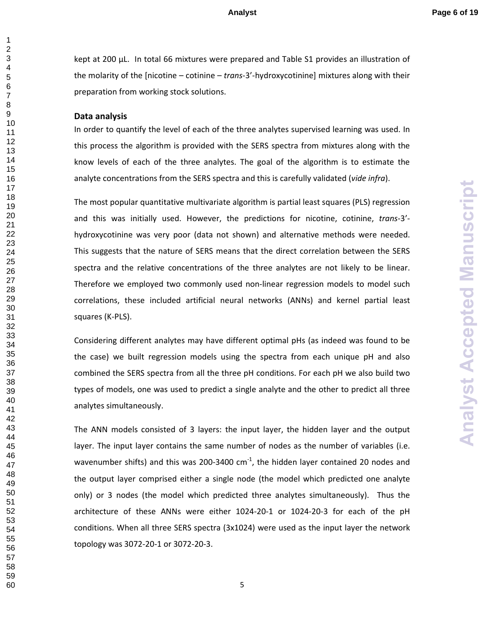kept at 200 μL. In total 66 mixtures were prepared and Table S1 provides an illustration of the molarity of the [nicotine – cotinine – *trans*-3'-hydroxycotinine] mixtures along with their preparation from working stock solutions.

### **Data analysis**

In order to quantify the level of each of the three analytes supervised learning was used. In this process the algorithm is provided with the SERS spectra from mixtures along with the know levels of each of the three analytes. The goal of the algorithm is to estimate the analyte concentrations from the SERS spectra and this is carefully validated (*vide infra*).

The most popular quantitative multivariate algorithm is partial least squares (PLS) regression and this was initially used. However, the predictions for nicotine, cotinine, *trans*-3' hydroxycotinine was very poor (data not shown) and alternative methods were needed. This suggests that the nature of SERS means that the direct correlation between the SERS spectra and the relative concentrations of the three analytes are not likely to be linear. Therefore we employed two commonly used non-linear regression models to model such correlations, these included artificial neural networks (ANNs) and kernel partial least squares (K-PLS).

Considering different analytes may have different optimal pHs (as indeed was found to be the case) we built regression models using the spectra from each unique pH and also combined the SERS spectra from all the three pH conditions. For each pH we also build two types of models, one was used to predict a single analyte and the other to predict all three analytes simultaneously.

The ANN models consisted of 3 layers: the input layer, the hidden layer and the output layer. The input layer contains the same number of nodes as the number of variables (i.e. wavenumber shifts) and this was 200-3400  $cm^{-1}$ , the hidden layer contained 20 nodes and the output layer comprised either a single node (the model which predicted one analyte only) or 3 nodes (the model which predicted three analytes simultaneously). Thus the architecture of these ANNs were either 1024-20-1 or 1024-20-3 for each of the pH conditions. When all three SERS spectra (3x1024) were used as the input layer the network topology was 3072-20-1 or 3072-20-3.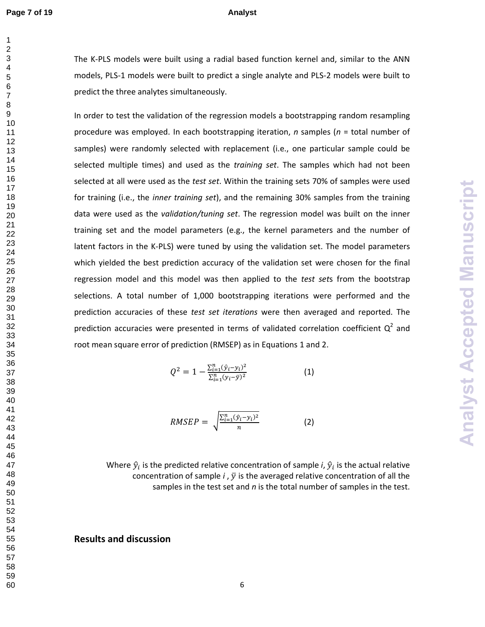59 60 The K-PLS models were built using a radial based function kernel and, similar to the ANN models, PLS-1 models were built to predict a single analyte and PLS-2 models were built to predict the three analytes simultaneously.

In order to test the validation of the regression models a bootstrapping random resampling procedure was employed. In each bootstrapping iteration, *n* samples (*n* = total number of samples) were randomly selected with replacement (i.e., one particular sample could be selected multiple times) and used as the *training set*. The samples which had not been selected at all were used as the *test set*. Within the training sets 70% of samples were used for training (i.e., the *inner training set*), and the remaining 30% samples from the training data were used as the *validation/tuning set*. The regression model was built on the inner training set and the model parameters (e.g., the kernel parameters and the number of latent factors in the K-PLS) were tuned by using the validation set. The model parameters which yielded the best prediction accuracy of the validation set were chosen for the final regression model and this model was then applied to the *test set*s from the bootstrap selections. A total number of 1,000 bootstrapping iterations were performed and the prediction accuracies of these *test set iterations* were then averaged and reported. The prediction accuracies were presented in terms of validated correlation coefficient  $Q^2$  and root mean square error of prediction (RMSEP) as in Equations 1 and 2.

$$
Q^{2} = 1 - \frac{\sum_{i=1}^{n} (\hat{y}_{i} - y_{i})^{2}}{\sum_{i=1}^{n} (y_{i} - \bar{y})^{2}}
$$
(1)

**Analyst Accepted Manuscript Analyst Accepted Manuscript**

$$
RMSEP = \sqrt{\frac{\sum_{i=1}^{n} (\hat{y}_i - y_i)^2}{n}}
$$
 (2)

Where  $\hat{y}_i$  is the predicted relative concentration of sample *i*,  $\hat{y}_i$  is the actual relative concentration of sample  $i$ ,  $\bar{y}$  is the averaged relative concentration of all the samples in the test set and *n* is the total number of samples in the test.

**Results and discussion**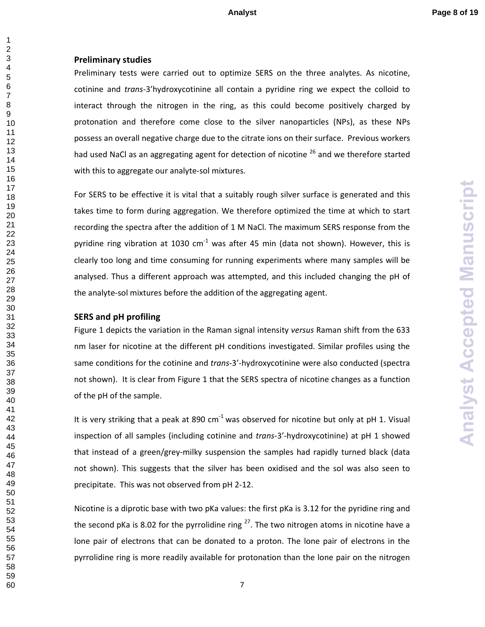### 

### **Preliminary studies**

Preliminary tests were carried out to optimize SERS on the three analytes. As nicotine, cotinine and *trans*-3'hydroxycotinine all contain a pyridine ring we expect the colloid to interact through the nitrogen in the ring, as this could become positively charged by protonation and therefore come close to the silver nanoparticles (NPs), as these NPs possess an overall negative charge due to the citrate ions on their surface. Previous workers had used NaCl as an aggregating agent for detection of nicotine <sup>26</sup> and we therefore started with this to aggregate our analyte-sol mixtures.

For SERS to be effective it is vital that a suitably rough silver surface is generated and this takes time to form during aggregation. We therefore optimized the time at which to start recording the spectra after the addition of 1 M NaCl. The maximum SERS response from the pyridine ring vibration at 1030  $cm^{-1}$  was after 45 min (data not shown). However, this is clearly too long and time consuming for running experiments where many samples will be analysed. Thus a different approach was attempted, and this included changing the pH of the analyte-sol mixtures before the addition of the aggregating agent.

### **SERS and pH profiling**

Figure 1 depicts the variation in the Raman signal intensity *versus* Raman shift from the 633 nm laser for nicotine at the different pH conditions investigated. Similar profiles using the same conditions for the cotinine and *trans*-3'-hydroxycotinine were also conducted (spectra not shown). It is clear from Figure 1 that the SERS spectra of nicotine changes as a function of the pH of the sample.

It is very striking that a peak at 890  $cm^{-1}$  was observed for nicotine but only at pH 1. Visual inspection of all samples (including cotinine and *trans*-3'-hydroxycotinine) at pH 1 showed that instead of a green/grey-milky suspension the samples had rapidly turned black (data not shown). This suggests that the silver has been oxidised and the sol was also seen to precipitate. This was not observed from pH 2-12.

Nicotine is a diprotic base with two pKa values: the first pKa is 3.12 for the pyridine ring and the second pKa is 8.02 for the pyrrolidine ring  $^{27}$ . The two nitrogen atoms in nicotine have a lone pair of electrons that can be donated to a proton. The lone pair of electrons in the pyrrolidine ring is more readily available for protonation than the lone pair on the nitrogen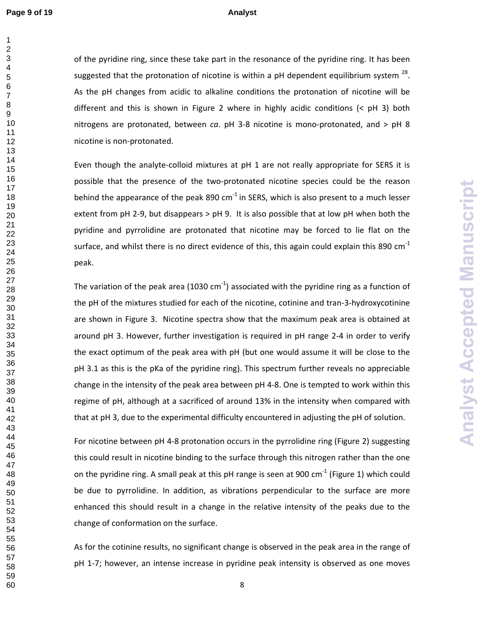of the pyridine ring, since these take part in the resonance of the pyridine ring. It has been suggested that the protonation of nicotine is within a pH dependent equilibrium system  $^{28}$ . As the pH changes from acidic to alkaline conditions the protonation of nicotine will be different and this is shown in Figure 2 where in highly acidic conditions (< pH 3) both nitrogens are protonated, between *ca*. pH 3-8 nicotine is mono-protonated, and > pH 8 nicotine is non-protonated.

Even though the analyte-colloid mixtures at pH 1 are not really appropriate for SERS it is possible that the presence of the two-protonated nicotine species could be the reason behind the appearance of the peak 890 cm<sup>-1</sup> in SERS, which is also present to a much lesser extent from pH 2-9, but disappears > pH 9. It is also possible that at low pH when both the pyridine and pyrrolidine are protonated that nicotine may be forced to lie flat on the surface, and whilst there is no direct evidence of this, this again could explain this 890  $cm^{-1}$ peak.

The variation of the peak area (1030 cm<sup>-1</sup>) associated with the pyridine ring as a function of the pH of the mixtures studied for each of the nicotine, cotinine and tran-3-hydroxycotinine are shown in Figure 3. Nicotine spectra show that the maximum peak area is obtained at around pH 3. However, further investigation is required in pH range 2-4 in order to verify the exact optimum of the peak area with pH (but one would assume it will be close to the pH 3.1 as this is the pKa of the pyridine ring). This spectrum further reveals no appreciable change in the intensity of the peak area between pH 4-8. One is tempted to work within this regime of pH, although at a sacrificed of around 13% in the intensity when compared with that at pH 3, due to the experimental difficulty encountered in adjusting the pH of solution.

**Analyst Accepted Manuscript Analyst Accepted Manuscript**

For nicotine between pH 4-8 protonation occurs in the pyrrolidine ring (Figure 2) suggesting this could result in nicotine binding to the surface through this nitrogen rather than the one on the pyridine ring. A small peak at this pH range is seen at 900  $cm^{-1}$  (Figure 1) which could be due to pyrrolidine. In addition, as vibrations perpendicular to the surface are more enhanced this should result in a change in the relative intensity of the peaks due to the change of conformation on the surface.

As for the cotinine results, no significant change is observed in the peak area in the range of pH 1-7; however, an intense increase in pyridine peak intensity is observed as one moves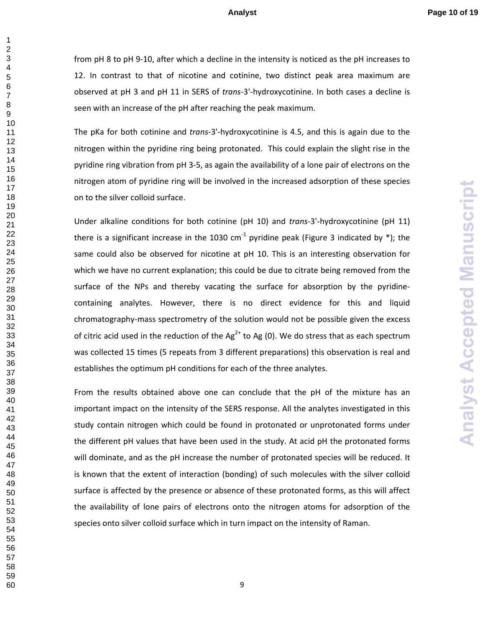from pH 8 to pH 9-10, after which a decline in the intensity is noticed as the pH increases to 12. In contrast to that of nicotine and cotinine, two distinct peak area maximum are observed at pH 3 and pH 11 in SERS of *trans*-3'-hydroxycotinine. In both cases a decline is seen with an increase of the pH after reaching the peak maximum.

The pKa for both cotinine and *trans*-3'-hydroxycotinine is 4.5, and this is again due to the nitrogen within the pyridine ring being protonated. This could explain the slight rise in the pyridine ring vibration from pH 3-5, as again the availability of a lone pair of electrons on the nitrogen atom of pyridine ring will be involved in the increased adsorption of these species on to the silver colloid surface.

Under alkaline conditions for both cotinine (pH 10) and *trans*-3'-hydroxycotinine (pH 11) there is a significant increase in the 1030 cm<sup>-1</sup> pyridine peak (Figure 3 indicated by \*); the same could also be observed for nicotine at pH 10. This is an interesting observation for which we have no current explanation; this could be due to citrate being removed from the surface of the NPs and thereby vacating the surface for absorption by the pyridinecontaining analytes. However, there is no direct evidence for this and liquid chromatography-mass spectrometry of the solution would not be possible given the excess of citric acid used in the reduction of the Ag<sup>2+</sup> to Ag (0). We do stress that as each spectrum was collected 15 times (5 repeats from 3 different preparations) this observation is real and establishes the optimum pH conditions for each of the three analytes.

From the results obtained above one can conclude that the pH of the mixture has an important impact on the intensity of the SERS response. All the analytes investigated in this study contain nitrogen which could be found in protonated or unprotonated forms under the different pH values that have been used in the study. At acid pH the protonated forms will dominate, and as the pH increase the number of protonated species will be reduced. It is known that the extent of interaction (bonding) of such molecules with the silver colloid surface is affected by the presence or absence of these protonated forms, as this will affect the availability of lone pairs of electrons onto the nitrogen atoms for adsorption of the species onto silver colloid surface which in turn impact on the intensity of Raman.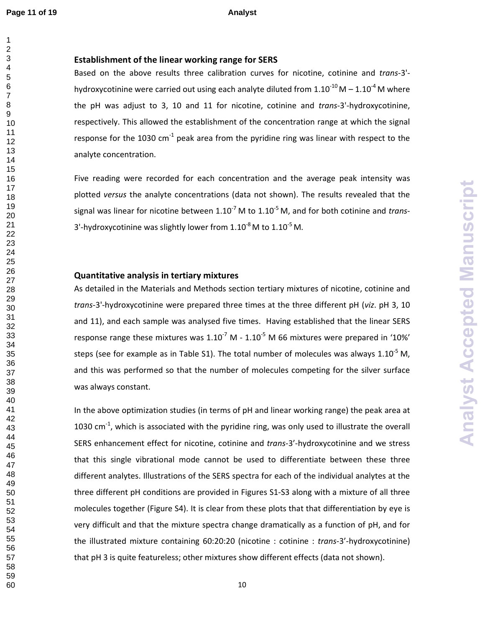### **Establishment of the linear working range for SERS**

Based on the above results three calibration curves for nicotine, cotinine and *trans*-3' hydroxycotinine were carried out using each analyte diluted from  $1.10^{-10}$  M  $- 1.10^{-4}$  M where the pH was adjust to 3, 10 and 11 for nicotine, cotinine and *trans*-3'-hydroxycotinine, respectively. This allowed the establishment of the concentration range at which the signal response for the 1030 cm<sup>-1</sup> peak area from the pyridine ring was linear with respect to the analyte concentration.

Five reading were recorded for each concentration and the average peak intensity was plotted *versus* the analyte concentrations (data not shown). The results revealed that the signal was linear for nicotine between 1.10<sup>-7</sup> M to 1.10<sup>-5</sup> M, and for both cotinine and *trans*-3'-hydroxycotinine was slightly lower from  $1.10^{-8}$  M to  $1.10^{-5}$  M.

### **Quantitative analysis in tertiary mixtures**

As detailed in the Materials and Methods section tertiary mixtures of nicotine, cotinine and *trans*-3'-hydroxycotinine were prepared three times at the three different pH (*viz*. pH 3, 10 and 11), and each sample was analysed five times. Having established that the linear SERS response range these mixtures was  $1.10^{-7}$  M -  $1.10^{-5}$  M 66 mixtures were prepared in '10%' steps (see for example as in Table S1). The total number of molecules was always  $1.10^{-5}$  M, and this was performed so that the number of molecules competing for the silver surface was always constant.

In the above optimization studies (in terms of pH and linear working range) the peak area at 1030 cm $^{-1}$ , which is associated with the pyridine ring, was only used to illustrate the overall SERS enhancement effect for nicotine, cotinine and *trans*-3'-hydroxycotinine and we stress that this single vibrational mode cannot be used to differentiate between these three different analytes. Illustrations of the SERS spectra for each of the individual analytes at the three different pH conditions are provided in Figures S1-S3 along with a mixture of all three molecules together (Figure S4). It is clear from these plots that that differentiation by eye is very difficult and that the mixture spectra change dramatically as a function of pH, and for the illustrated mixture containing 60:20:20 (nicotine : cotinine : *trans*-3'-hydroxycotinine) that pH 3 is quite featureless; other mixtures show different effects (data not shown).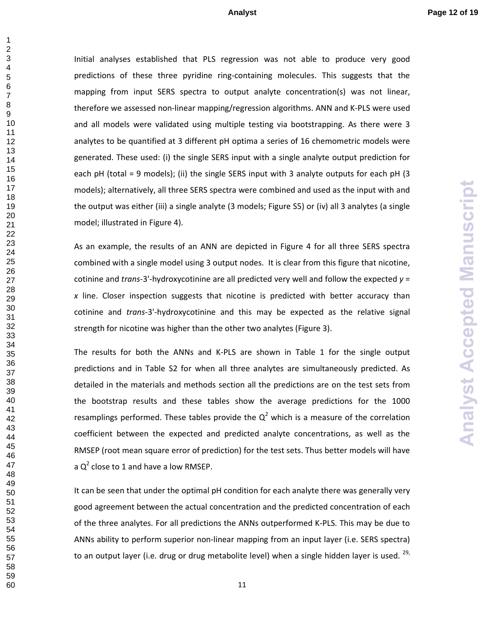Initial analyses established that PLS regression was not able to produce very good predictions of these three pyridine ring-containing molecules. This suggests that the mapping from input SERS spectra to output analyte concentration(s) was not linear, therefore we assessed non-linear mapping/regression algorithms. ANN and K-PLS were used and all models were validated using multiple testing via bootstrapping. As there were 3 analytes to be quantified at 3 different pH optima a series of 16 chemometric models were generated. These used: (i) the single SERS input with a single analyte output prediction for each pH (total = 9 models); (ii) the single SERS input with 3 analyte outputs for each pH (3 models); alternatively, all three SERS spectra were combined and used as the input with and the output was either (iii) a single analyte (3 models; Figure S5) or (iv) all 3 analytes (a single model; illustrated in Figure 4).

As an example, the results of an ANN are depicted in Figure 4 for all three SERS spectra combined with a single model using 3 output nodes. It is clear from this figure that nicotine, cotinine and *trans*-3'-hydroxycotinine are all predicted very well and follow the expected *y* = *x* line. Closer inspection suggests that nicotine is predicted with better accuracy than cotinine and *trans*-3'-hydroxycotinine and this may be expected as the relative signal strength for nicotine was higher than the other two analytes (Figure 3).

The results for both the ANNs and K-PLS are shown in Table 1 for the single output predictions and in Table S2 for when all three analytes are simultaneously predicted. As detailed in the materials and methods section all the predictions are on the test sets from the bootstrap results and these tables show the average predictions for the 1000 resamplings performed. These tables provide the  $Q^2$  which is a measure of the correlation coefficient between the expected and predicted analyte concentrations, as well as the RMSEP (root mean square error of prediction) for the test sets. Thus better models will have a  $Q^2$  close to 1 and have a low RMSEP.

It can be seen that under the optimal pH condition for each analyte there was generally very good agreement between the actual concentration and the predicted concentration of each of the three analytes. For all predictions the ANNs outperformed K-PLS. This may be due to ANNs ability to perform superior non-linear mapping from an input layer (i.e. SERS spectra) to an output layer (i.e. drug or drug metabolite level) when a single hidden layer is used. ,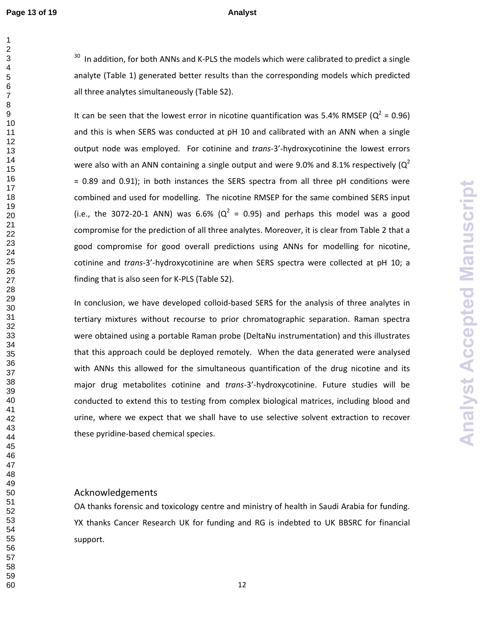In addition, for both ANNs and K-PLS the models which were calibrated to predict a single analyte (Table 1) generated better results than the corresponding models which predicted all three analytes simultaneously (Table S2).

It can be seen that the lowest error in nicotine quantification was 5.4% RMSEP ( $Q^2$  = 0.96) and this is when SERS was conducted at pH 10 and calibrated with an ANN when a single output node was employed. For cotinine and *trans*-3'-hydroxycotinine the lowest errors were also with an ANN containing a single output and were 9.0% and 8.1% respectively ( $Q^2$ ) = 0.89 and 0.91); in both instances the SERS spectra from all three pH conditions were combined and used for modelling. The nicotine RMSEP for the same combined SERS input (i.e., the 3072-20-1 ANN) was 6.6% ( $Q^2 = 0.95$ ) and perhaps this model was a good compromise for the prediction of all three analytes. Moreover, it is clear from Table 2 that a good compromise for good overall predictions using ANNs for modelling for nicotine, cotinine and *trans*-3'-hydroxycotinine are when SERS spectra were collected at pH 10; a finding that is also seen for K-PLS (Table S2).

In conclusion, we have developed colloid-based SERS for the analysis of three analytes in tertiary mixtures without recourse to prior chromatographic separation. Raman spectra were obtained using a portable Raman probe (DeltaNu instrumentation) and this illustrates that this approach could be deployed remotely. When the data generated were analysed with ANNs this allowed for the simultaneous quantification of the drug nicotine and its major drug metabolites cotinine and *trans*-3'-hydroxycotinine. Future studies will be conducted to extend this to testing from complex biological matrices, including blood and urine, where we expect that we shall have to use selective solvent extraction to recover these pyridine-based chemical species.

### Acknowledgements

OA thanks forensic and toxicology centre and ministry of health in Saudi Arabia for funding. YX thanks Cancer Research UK for funding and RG is indebted to UK BBSRC for financial support.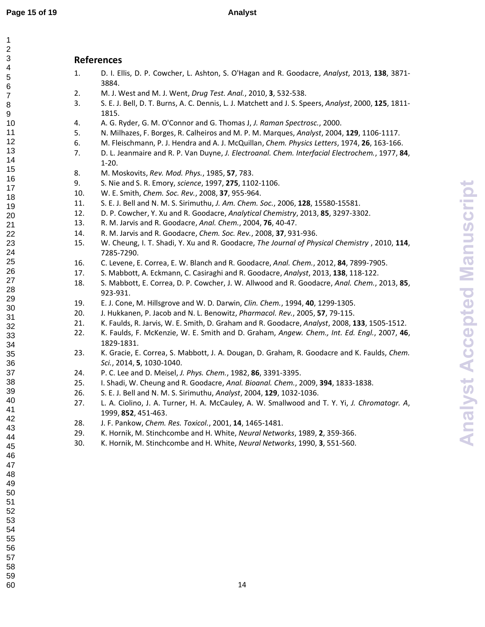# **References**  1. D. I. Ellis, D. P. Cowcher, L. Ashton, S. O'Hagan and R. Goodacre, *Analyst*, 2013, **138**, 3871- 3884.

- 2. M. J. West and M. J. Went, *Drug Test. Anal.*, 2010, **3**, 532-538.
- 3. S. E. J. Bell, D. T. Burns, A. C. Dennis, L. J. Matchett and J. S. Speers, *Analyst*, 2000, **125**, 1811- 1815.
- 4. A. G. Ryder, G. M. O'Connor and G. Thomas J, *J. Raman Spectrosc.*, 2000.
- 5. N. Milhazes, F. Borges, R. Calheiros and M. P. M. Marques, *Analyst*, 2004, **129**, 1106-1117.
- 6. M. Fleischmann, P. J. Hendra and A. J. McQuillan, *Chem. Physics Letters*, 1974, **26**, 163-166.
- 7. D. L. Jeanmaire and R. P. Van Duyne, *J. Electroanal. Chem. Interfacial Electrochem.*, 1977, **84**, 1-20.
- 8. M. Moskovits, *Rev. Mod. Phys.*, 1985, **57**, 783.
- 9. S. Nie and S. R. Emory, *science*, 1997, **275**, 1102-1106.
- 10. W. E. Smith, *Chem. Soc. Rev.*, 2008, **37**, 955-964.
- 11. S. E. J. Bell and N. M. S. Sirimuthu, *J. Am. Chem. Soc.*, 2006, **128**, 15580-15581.
- 12. D. P. Cowcher, Y. Xu and R. Goodacre, *Analytical Chemistry*, 2013, **85**, 3297-3302.
- 13. R. M. Jarvis and R. Goodacre, *Anal. Chem.*, 2004, **76**, 40-47.
- 14. R. M. Jarvis and R. Goodacre, *Chem. Soc. Rev.*, 2008, **37**, 931-936.
- 15. W. Cheung, I. T. Shadi, Y. Xu and R. Goodacre, *The Journal of Physical Chemistry* , 2010, **114**, 7285-7290.
- 16. C. Levene, E. Correa, E. W. Blanch and R. Goodacre, *Anal. Chem.*, 2012, **84**, 7899-7905.
- 17. S. Mabbott, A. Eckmann, C. Casiraghi and R. Goodacre, *Analyst*, 2013, **138**, 118-122.
- 18. S. Mabbott, E. Correa, D. P. Cowcher, J. W. Allwood and R. Goodacre, *Anal. Chem.*, 2013, **85**, 923-931.
- 19. E. J. Cone, M. Hillsgrove and W. D. Darwin, *Clin. Chem.*, 1994, **40**, 1299-1305.
- 20. J. Hukkanen, P. Jacob and N. L. Benowitz, *Pharmacol. Rev.*, 2005, **57**, 79-115.
- 21. K. Faulds, R. Jarvis, W. E. Smith, D. Graham and R. Goodacre, *Analyst*, 2008, **133**, 1505-1512.
- 22. K. Faulds, F. McKenzie, W. E. Smith and D. Graham, *Angew. Chem., Int. Ed. Engl.*, 2007, **46**, 1829-1831.
- 23. K. Gracie, E. Correa, S. Mabbott, J. A. Dougan, D. Graham, R. Goodacre and K. Faulds, *Chem. Sci.*, 2014, **5**, 1030-1040.
- 24. P. C. Lee and D. Meisel, *J. Phys. Chem.*, 1982, **86**, 3391-3395.
- 25. I. Shadi, W. Cheung and R. Goodacre, *Anal. Bioanal. Chem.*, 2009, **394**, 1833-1838.
- 26. S. E. J. Bell and N. M. S. Sirimuthu, *Analyst*, 2004, **129**, 1032-1036.
- 27. L. A. Ciolino, J. A. Turner, H. A. McCauley, A. W. Smallwood and T. Y. Yi, *J. Chromatogr. A*, 1999, **852**, 451-463.
- 28. J. F. Pankow, *Chem. Res. Toxicol.*, 2001, **14**, 1465-1481.
- 29. K. Hornik, M. Stinchcombe and H. White, *Neural Networks*, 1989, **2**, 359-366.
- 30. K. Hornik, M. Stinchcombe and H. White, *Neural Networks*, 1990, **3**, 551-560.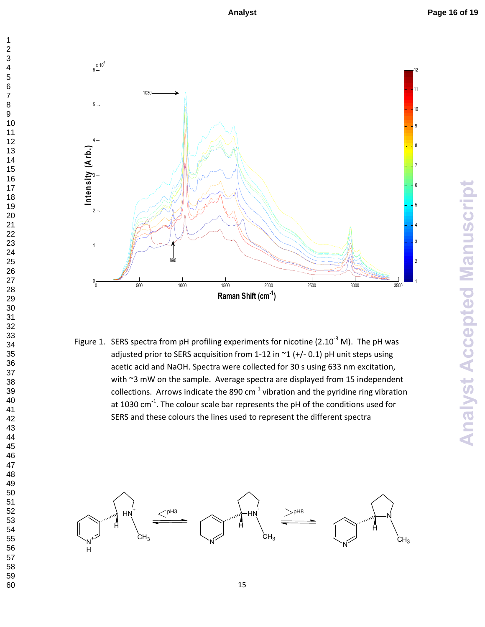

Figure 1. SERS spectra from pH profiling experiments for nicotine (2.10<sup>-3</sup> M). The pH was adjusted prior to SERS acquisition from 1-12 in  $\degree$ 1 (+/-0.1) pH unit steps using acetic acid and NaOH. Spectra were collected for 30 s using 633 nm excitation, with ~3 mW on the sample. Average spectra are displayed from 15 independent collections. Arrows indicate the 890  $cm^{-1}$  vibration and the pyridine ring vibration at 1030 cm<sup>-1</sup>. The colour scale bar represents the pH of the conditions used for SERS and these colours the lines used to represent the different spectra

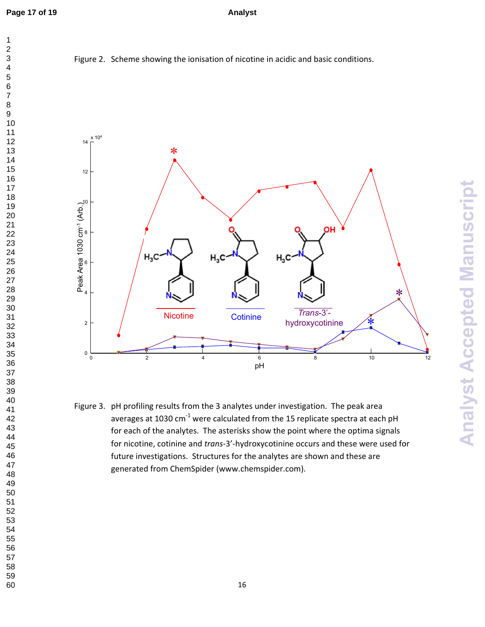



Figure 3. pH profiling results from the 3 analytes under investigation. The peak area averages at 1030 cm<sup>-1</sup> were calculated from the 15 replicate spectra at each pH for each of the analytes. The asterisks show the point where the optima signals for nicotine, cotinine and *trans*-3'-hydroxycotinine occurs and these were used for future investigations. Structures for the analytes are shown and these are generated from ChemSpider (www.chemspider.com).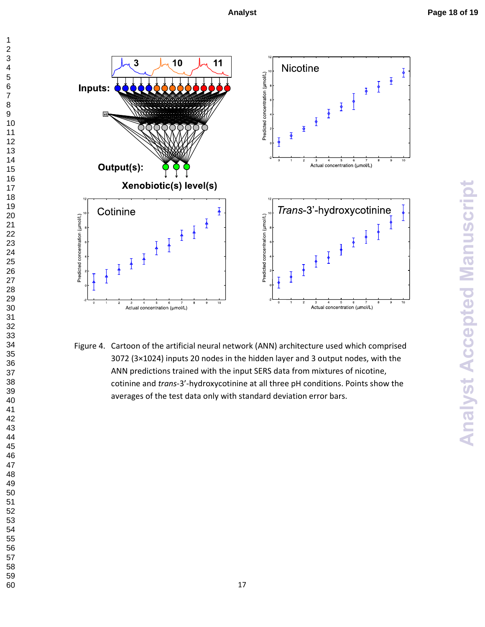

Figure 4. Cartoon of the artificial neural network (ANN) architecture used which comprised 3072 (3×1024) inputs 20 nodes in the hidden layer and 3 output nodes, with the ANN predictions trained with the input SERS data from mixtures of nicotine, cotinine and *trans*-3'-hydroxycotinine at all three pH conditions. Points show the averages of the test data only with standard deviation error bars.